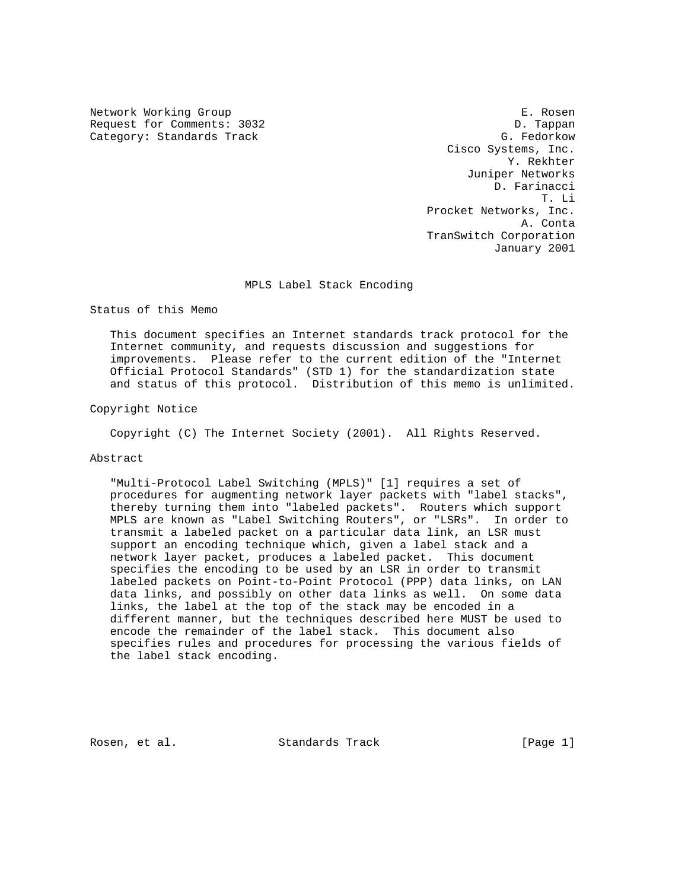Network Working Group **E. Rosen** Request for Comments: 3032 D. Tappan Category: Standards Track G. Fedorkow

 Cisco Systems, Inc. Y. Rekhter Juniper Networks D. Farinacci T. Li Procket Networks, Inc. A. Conta TranSwitch Corporation January 2001

MPLS Label Stack Encoding

Status of this Memo

 This document specifies an Internet standards track protocol for the Internet community, and requests discussion and suggestions for improvements. Please refer to the current edition of the "Internet Official Protocol Standards" (STD 1) for the standardization state and status of this protocol. Distribution of this memo is unlimited.

Copyright Notice

Copyright (C) The Internet Society (2001). All Rights Reserved.

### Abstract

 "Multi-Protocol Label Switching (MPLS)" [1] requires a set of procedures for augmenting network layer packets with "label stacks", thereby turning them into "labeled packets". Routers which support MPLS are known as "Label Switching Routers", or "LSRs". In order to transmit a labeled packet on a particular data link, an LSR must support an encoding technique which, given a label stack and a network layer packet, produces a labeled packet. This document specifies the encoding to be used by an LSR in order to transmit labeled packets on Point-to-Point Protocol (PPP) data links, on LAN data links, and possibly on other data links as well. On some data links, the label at the top of the stack may be encoded in a different manner, but the techniques described here MUST be used to encode the remainder of the label stack. This document also specifies rules and procedures for processing the various fields of the label stack encoding.

Rosen, et al. Standards Track [Page 1]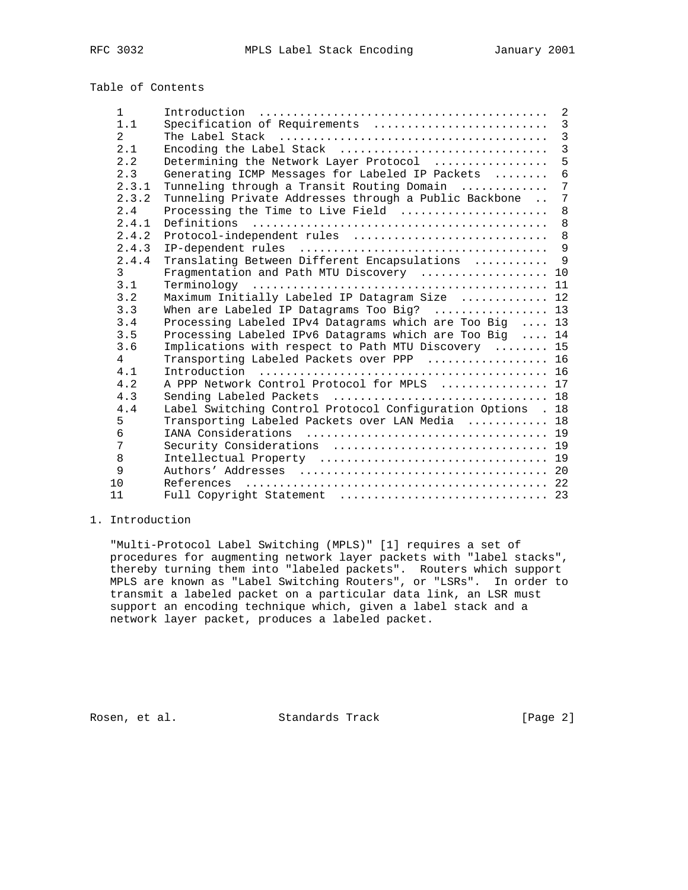Table of Contents

| $\mathbf{1}$   |                                                             |                 |
|----------------|-------------------------------------------------------------|-----------------|
| 1.1            | Specification of Requirements                               | $\overline{3}$  |
| $\overline{a}$ |                                                             | $\overline{3}$  |
| 2.1            | Encoding the Label Stack                                    | $\overline{3}$  |
| 2.2            | Determining the Network Layer Protocol                      | 5               |
| 2.3            | Generating ICMP Messages for Labeled IP Packets             | $6\phantom{1}$  |
| 2.3.1          | Tunneling through a Transit Routing Domain                  | $7\phantom{.0}$ |
| 2.3.2          | Tunneling Private Addresses through a Public Backbone       | $\overline{7}$  |
| 2.4            | Processing the Time to Live Field                           | 8               |
| 2.4.1          | Definitions                                                 | 8               |
| 2.4.2          | Protocol-independent rules  8                               |                 |
| 2.4.3          |                                                             |                 |
| 2.4.4          | Translating Between Different Encapsulations  9             |                 |
| 3              | Fragmentation and Path MTU Discovery  10                    |                 |
| 3.1            |                                                             |                 |
| 3.2            | Maximum Initially Labeled IP Datagram Size  12              |                 |
| 3.3            | When are Labeled IP Datagrams Too Big? $\ldots$ 13          |                 |
| 3.4            | Processing Labeled IPv4 Datagrams which are Too Big  13     |                 |
| 3.5            | Processing Labeled IPv6 Datagrams which are Too Big  14     |                 |
| 3.6            | Implications with respect to Path MTU Discovery  15         |                 |
| $\overline{4}$ | Transporting Labeled Packets over PPP  16                   |                 |
| 4.1            | Introduction                                                |                 |
| 4.2            | A PPP Network Control Protocol for MPLS  17                 |                 |
| 4.3            | Sending Labeled Packets  18                                 |                 |
| 4.4            | Label Switching Control Protocol Configuration Options . 18 |                 |
| 5              | Transporting Labeled Packets over LAN Media  18             |                 |
| 6              |                                                             |                 |
| 7              |                                                             |                 |
| 8              |                                                             |                 |
| 9              |                                                             |                 |
| 1 O            |                                                             |                 |
| 11             | Full Copyright Statement  23                                |                 |

## 1. Introduction

 "Multi-Protocol Label Switching (MPLS)" [1] requires a set of procedures for augmenting network layer packets with "label stacks", thereby turning them into "labeled packets". Routers which support MPLS are known as "Label Switching Routers", or "LSRs". In order to transmit a labeled packet on a particular data link, an LSR must support an encoding technique which, given a label stack and a network layer packet, produces a labeled packet.

Rosen, et al. Standards Track [Page 2]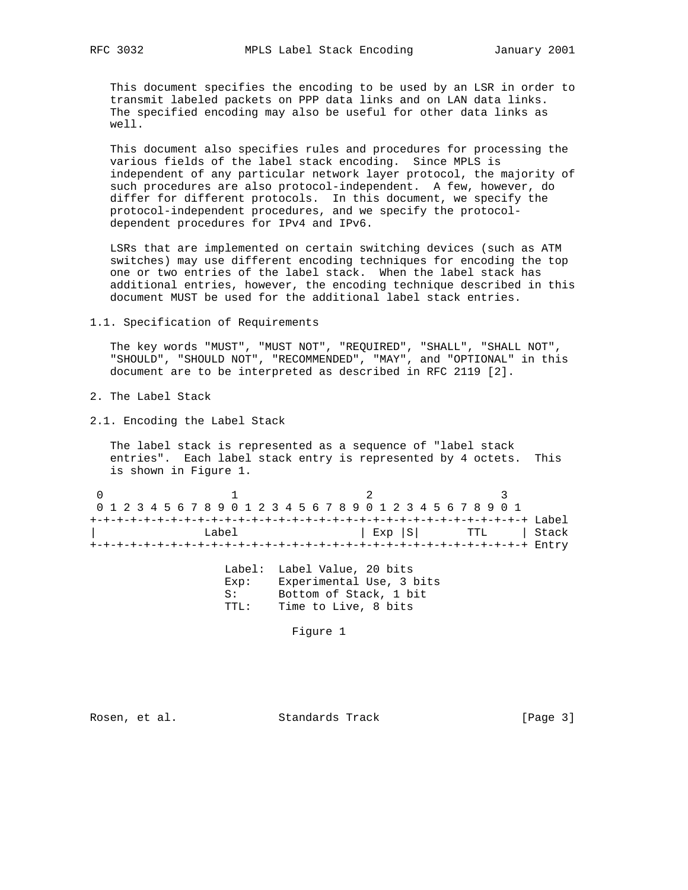This document specifies the encoding to be used by an LSR in order to transmit labeled packets on PPP data links and on LAN data links. The specified encoding may also be useful for other data links as well.

 This document also specifies rules and procedures for processing the various fields of the label stack encoding. Since MPLS is independent of any particular network layer protocol, the majority of such procedures are also protocol-independent. A few, however, do differ for different protocols. In this document, we specify the protocol-independent procedures, and we specify the protocol dependent procedures for IPv4 and IPv6.

 LSRs that are implemented on certain switching devices (such as ATM switches) may use different encoding techniques for encoding the top one or two entries of the label stack. When the label stack has additional entries, however, the encoding technique described in this document MUST be used for the additional label stack entries.

1.1. Specification of Requirements

 The key words "MUST", "MUST NOT", "REQUIRED", "SHALL", "SHALL NOT", "SHOULD", "SHOULD NOT", "RECOMMENDED", "MAY", and "OPTIONAL" in this document are to be interpreted as described in RFC 2119 [2].

- 2. The Label Stack
- 2.1. Encoding the Label Stack

 The label stack is represented as a sequence of "label stack entries". Each label stack entry is represented by 4 octets. This is shown in Figure 1.

0  $1$  2 3 0 1 2 3 4 5 6 7 8 9 0 1 2 3 4 5 6 7 8 9 0 1 2 3 4 5 6 7 8 9 0 1 +-+-+-+-+-+-+-+-+-+-+-+-+-+-+-+-+-+-+-+-+-+-+-+-+-+-+-+-+-+-+-+-+ Label Label  $|$  Exp  $|S|$  TTL  $|$  Stack +-+-+-+-+-+-+-+-+-+-+-+-+-+-+-+-+-+-+-+-+-+-+-+-+-+-+-+-+-+-+-+-+ Entry

|       | Label: Label Value, 20 bits |
|-------|-----------------------------|
| Exp:  | Experimental Use, 3 bits    |
| S:    | Bottom of Stack, 1 bit      |
| TTT.: | Time to Live, 8 bits        |

Figure 1

Rosen, et al. Standards Track [Page 3]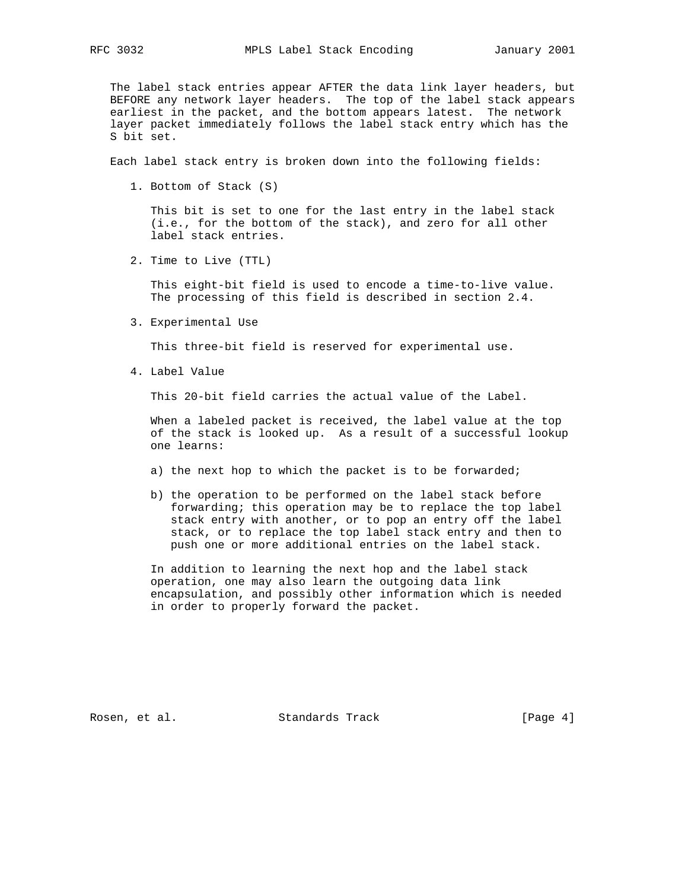The label stack entries appear AFTER the data link layer headers, but BEFORE any network layer headers. The top of the label stack appears earliest in the packet, and the bottom appears latest. The network layer packet immediately follows the label stack entry which has the S bit set.

Each label stack entry is broken down into the following fields:

1. Bottom of Stack (S)

 This bit is set to one for the last entry in the label stack (i.e., for the bottom of the stack), and zero for all other label stack entries.

2. Time to Live (TTL)

 This eight-bit field is used to encode a time-to-live value. The processing of this field is described in section 2.4.

3. Experimental Use

This three-bit field is reserved for experimental use.

4. Label Value

This 20-bit field carries the actual value of the Label.

 When a labeled packet is received, the label value at the top of the stack is looked up. As a result of a successful lookup one learns:

- a) the next hop to which the packet is to be forwarded;
- b) the operation to be performed on the label stack before forwarding; this operation may be to replace the top label stack entry with another, or to pop an entry off the label stack, or to replace the top label stack entry and then to push one or more additional entries on the label stack.

 In addition to learning the next hop and the label stack operation, one may also learn the outgoing data link encapsulation, and possibly other information which is needed in order to properly forward the packet.

Rosen, et al. Standards Track [Page 4]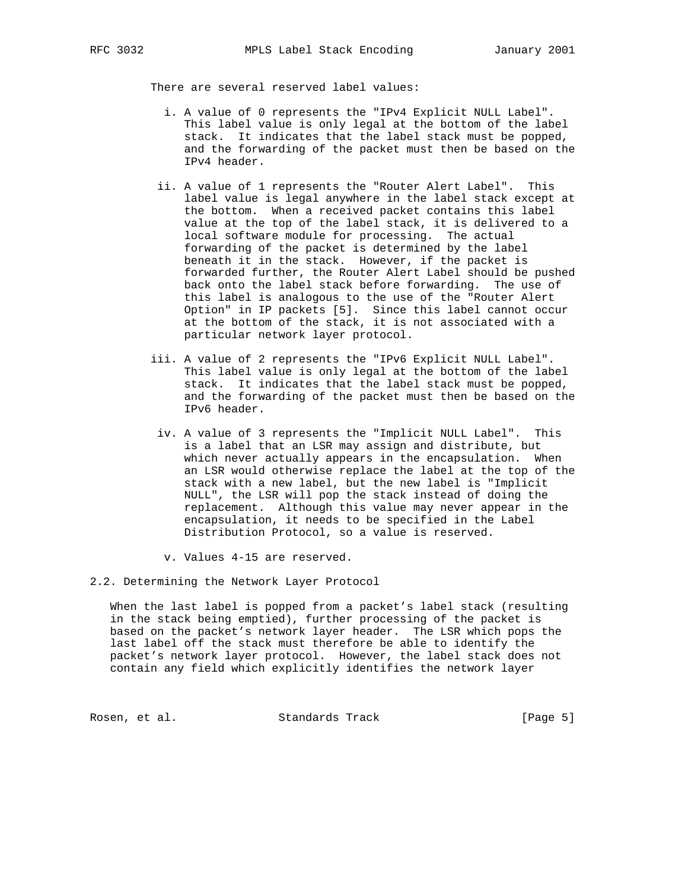There are several reserved label values:

- i. A value of 0 represents the "IPv4 Explicit NULL Label". This label value is only legal at the bottom of the label stack. It indicates that the label stack must be popped, and the forwarding of the packet must then be based on the IPv4 header.
- ii. A value of 1 represents the "Router Alert Label". This label value is legal anywhere in the label stack except at the bottom. When a received packet contains this label value at the top of the label stack, it is delivered to a local software module for processing. The actual forwarding of the packet is determined by the label beneath it in the stack. However, if the packet is forwarded further, the Router Alert Label should be pushed back onto the label stack before forwarding. The use of this label is analogous to the use of the "Router Alert Option" in IP packets [5]. Since this label cannot occur at the bottom of the stack, it is not associated with a particular network layer protocol.
- iii. A value of 2 represents the "IPv6 Explicit NULL Label". This label value is only legal at the bottom of the label stack. It indicates that the label stack must be popped, and the forwarding of the packet must then be based on the IPv6 header.
- iv. A value of 3 represents the "Implicit NULL Label". This is a label that an LSR may assign and distribute, but which never actually appears in the encapsulation. When an LSR would otherwise replace the label at the top of the stack with a new label, but the new label is "Implicit NULL", the LSR will pop the stack instead of doing the replacement. Although this value may never appear in the encapsulation, it needs to be specified in the Label Distribution Protocol, so a value is reserved.
- v. Values 4-15 are reserved.
- 2.2. Determining the Network Layer Protocol

 When the last label is popped from a packet's label stack (resulting in the stack being emptied), further processing of the packet is based on the packet's network layer header. The LSR which pops the last label off the stack must therefore be able to identify the packet's network layer protocol. However, the label stack does not contain any field which explicitly identifies the network layer

Rosen, et al. Standards Track [Page 5]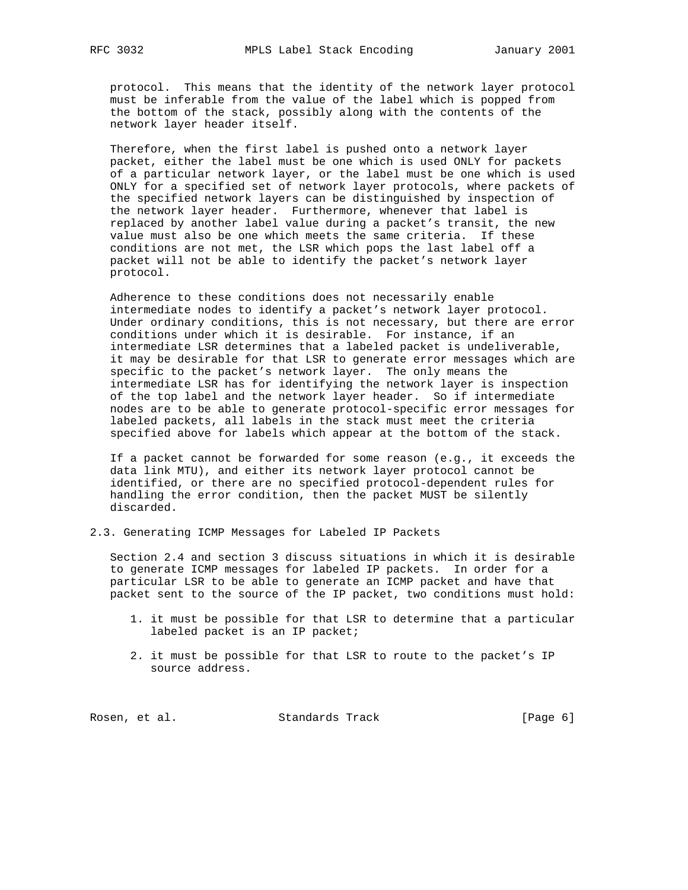protocol. This means that the identity of the network layer protocol must be inferable from the value of the label which is popped from the bottom of the stack, possibly along with the contents of the network layer header itself.

 Therefore, when the first label is pushed onto a network layer packet, either the label must be one which is used ONLY for packets of a particular network layer, or the label must be one which is used ONLY for a specified set of network layer protocols, where packets of the specified network layers can be distinguished by inspection of the network layer header. Furthermore, whenever that label is replaced by another label value during a packet's transit, the new value must also be one which meets the same criteria. If these conditions are not met, the LSR which pops the last label off a packet will not be able to identify the packet's network layer protocol.

 Adherence to these conditions does not necessarily enable intermediate nodes to identify a packet's network layer protocol. Under ordinary conditions, this is not necessary, but there are error conditions under which it is desirable. For instance, if an intermediate LSR determines that a labeled packet is undeliverable, it may be desirable for that LSR to generate error messages which are specific to the packet's network layer. The only means the intermediate LSR has for identifying the network layer is inspection of the top label and the network layer header. So if intermediate nodes are to be able to generate protocol-specific error messages for labeled packets, all labels in the stack must meet the criteria specified above for labels which appear at the bottom of the stack.

 If a packet cannot be forwarded for some reason (e.g., it exceeds the data link MTU), and either its network layer protocol cannot be identified, or there are no specified protocol-dependent rules for handling the error condition, then the packet MUST be silently discarded.

2.3. Generating ICMP Messages for Labeled IP Packets

 Section 2.4 and section 3 discuss situations in which it is desirable to generate ICMP messages for labeled IP packets. In order for a particular LSR to be able to generate an ICMP packet and have that packet sent to the source of the IP packet, two conditions must hold:

- 1. it must be possible for that LSR to determine that a particular labeled packet is an IP packet;
- 2. it must be possible for that LSR to route to the packet's IP source address.

Rosen, et al. Standards Track [Page 6]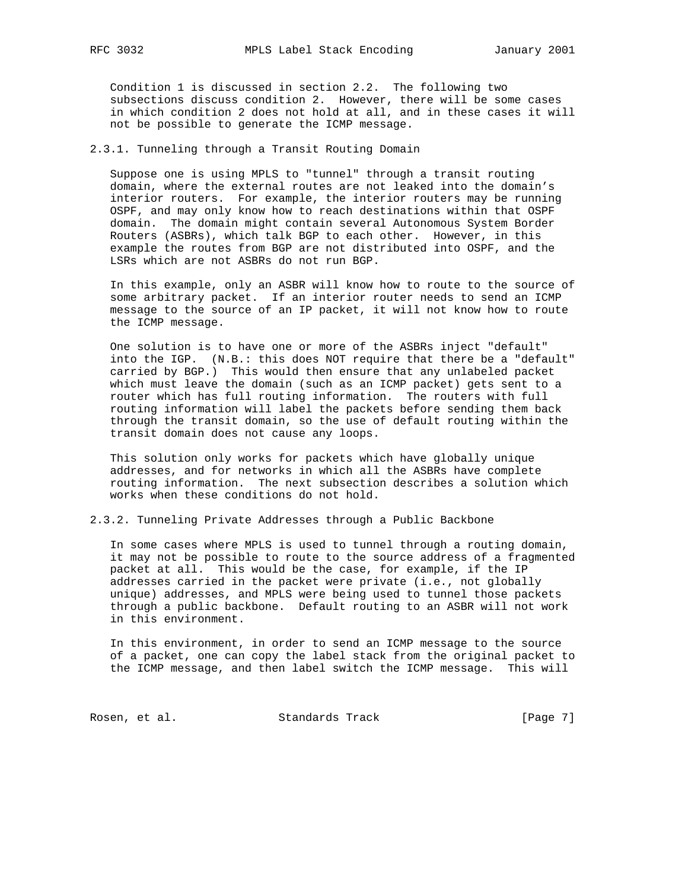Condition 1 is discussed in section 2.2. The following two subsections discuss condition 2. However, there will be some cases in which condition 2 does not hold at all, and in these cases it will not be possible to generate the ICMP message.

2.3.1. Tunneling through a Transit Routing Domain

 Suppose one is using MPLS to "tunnel" through a transit routing domain, where the external routes are not leaked into the domain's interior routers. For example, the interior routers may be running OSPF, and may only know how to reach destinations within that OSPF domain. The domain might contain several Autonomous System Border Routers (ASBRs), which talk BGP to each other. However, in this example the routes from BGP are not distributed into OSPF, and the LSRs which are not ASBRs do not run BGP.

 In this example, only an ASBR will know how to route to the source of some arbitrary packet. If an interior router needs to send an ICMP message to the source of an IP packet, it will not know how to route the ICMP message.

 One solution is to have one or more of the ASBRs inject "default" into the IGP. (N.B.: this does NOT require that there be a "default" carried by BGP.) This would then ensure that any unlabeled packet which must leave the domain (such as an ICMP packet) gets sent to a router which has full routing information. The routers with full routing information will label the packets before sending them back through the transit domain, so the use of default routing within the transit domain does not cause any loops.

 This solution only works for packets which have globally unique addresses, and for networks in which all the ASBRs have complete routing information. The next subsection describes a solution which works when these conditions do not hold.

2.3.2. Tunneling Private Addresses through a Public Backbone

 In some cases where MPLS is used to tunnel through a routing domain, it may not be possible to route to the source address of a fragmented packet at all. This would be the case, for example, if the IP addresses carried in the packet were private (i.e., not globally unique) addresses, and MPLS were being used to tunnel those packets through a public backbone. Default routing to an ASBR will not work in this environment.

 In this environment, in order to send an ICMP message to the source of a packet, one can copy the label stack from the original packet to the ICMP message, and then label switch the ICMP message. This will

Rosen, et al. Standards Track [Page 7]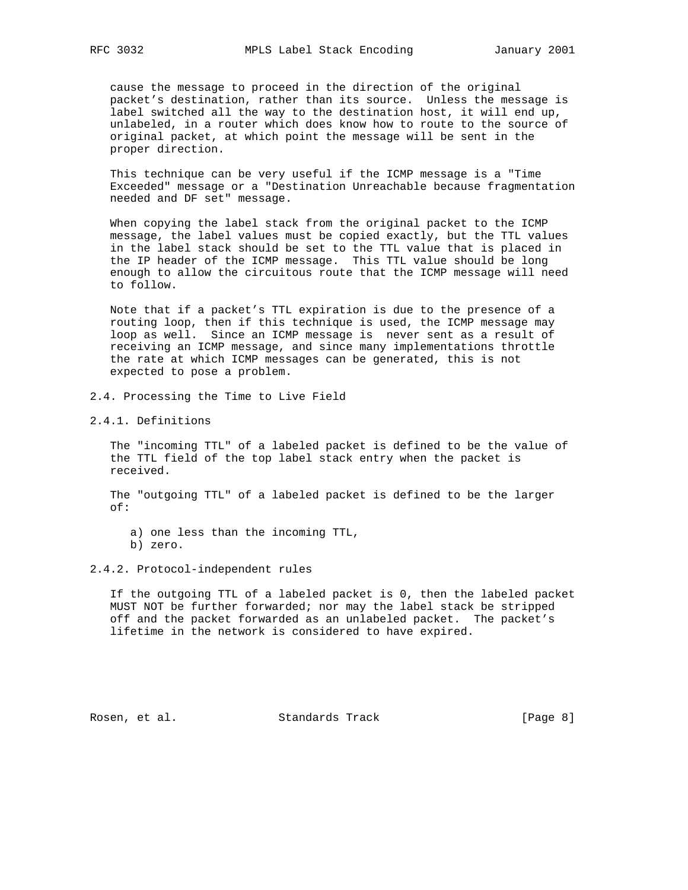cause the message to proceed in the direction of the original packet's destination, rather than its source. Unless the message is label switched all the way to the destination host, it will end up, unlabeled, in a router which does know how to route to the source of original packet, at which point the message will be sent in the proper direction.

 This technique can be very useful if the ICMP message is a "Time Exceeded" message or a "Destination Unreachable because fragmentation needed and DF set" message.

 When copying the label stack from the original packet to the ICMP message, the label values must be copied exactly, but the TTL values in the label stack should be set to the TTL value that is placed in the IP header of the ICMP message. This TTL value should be long enough to allow the circuitous route that the ICMP message will need to follow.

 Note that if a packet's TTL expiration is due to the presence of a routing loop, then if this technique is used, the ICMP message may loop as well. Since an ICMP message is never sent as a result of receiving an ICMP message, and since many implementations throttle the rate at which ICMP messages can be generated, this is not expected to pose a problem.

- 2.4. Processing the Time to Live Field
- 2.4.1. Definitions

 The "incoming TTL" of a labeled packet is defined to be the value of the TTL field of the top label stack entry when the packet is received.

 The "outgoing TTL" of a labeled packet is defined to be the larger of:

 a) one less than the incoming TTL, b) zero.

2.4.2. Protocol-independent rules

 If the outgoing TTL of a labeled packet is 0, then the labeled packet MUST NOT be further forwarded; nor may the label stack be stripped off and the packet forwarded as an unlabeled packet. The packet's lifetime in the network is considered to have expired.

Rosen, et al. Standards Track [Page 8]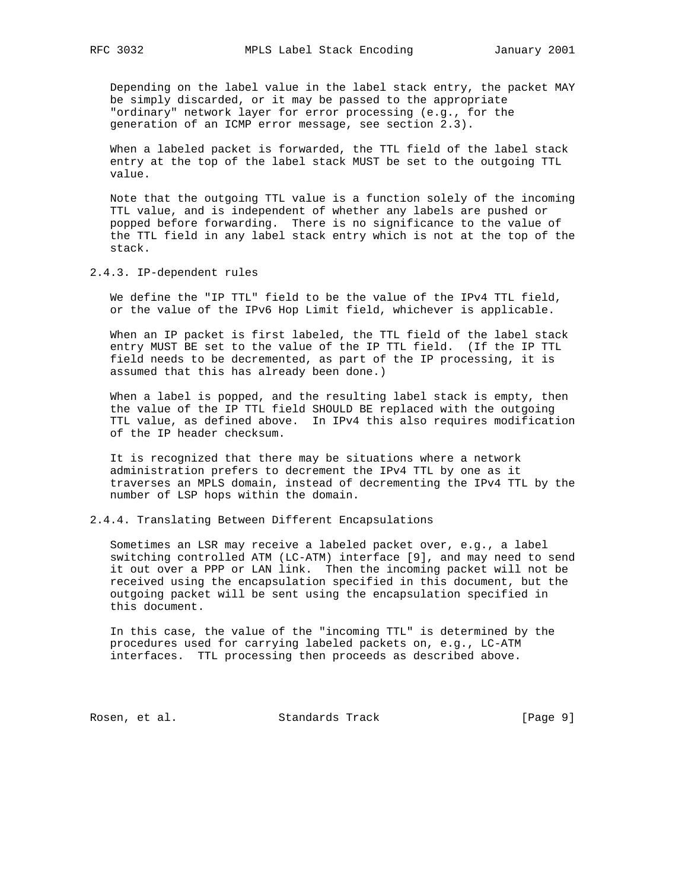Depending on the label value in the label stack entry, the packet MAY be simply discarded, or it may be passed to the appropriate "ordinary" network layer for error processing (e.g., for the generation of an ICMP error message, see section 2.3).

 When a labeled packet is forwarded, the TTL field of the label stack entry at the top of the label stack MUST be set to the outgoing TTL value.

 Note that the outgoing TTL value is a function solely of the incoming TTL value, and is independent of whether any labels are pushed or popped before forwarding. There is no significance to the value of the TTL field in any label stack entry which is not at the top of the stack.

2.4.3. IP-dependent rules

 We define the "IP TTL" field to be the value of the IPv4 TTL field, or the value of the IPv6 Hop Limit field, whichever is applicable.

 When an IP packet is first labeled, the TTL field of the label stack entry MUST BE set to the value of the IP TTL field. (If the IP TTL field needs to be decremented, as part of the IP processing, it is assumed that this has already been done.)

 When a label is popped, and the resulting label stack is empty, then the value of the IP TTL field SHOULD BE replaced with the outgoing TTL value, as defined above. In IPv4 this also requires modification of the IP header checksum.

 It is recognized that there may be situations where a network administration prefers to decrement the IPv4 TTL by one as it traverses an MPLS domain, instead of decrementing the IPv4 TTL by the number of LSP hops within the domain.

2.4.4. Translating Between Different Encapsulations

 Sometimes an LSR may receive a labeled packet over, e.g., a label switching controlled ATM (LC-ATM) interface [9], and may need to send it out over a PPP or LAN link. Then the incoming packet will not be received using the encapsulation specified in this document, but the outgoing packet will be sent using the encapsulation specified in this document.

 In this case, the value of the "incoming TTL" is determined by the procedures used for carrying labeled packets on, e.g., LC-ATM interfaces. TTL processing then proceeds as described above.

Rosen, et al. Standards Track [Page 9]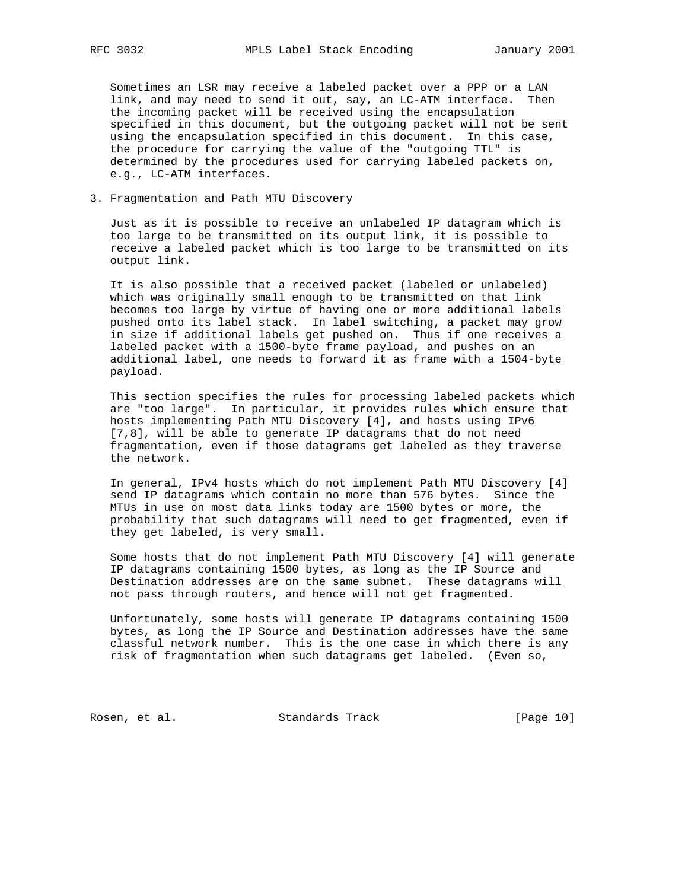Sometimes an LSR may receive a labeled packet over a PPP or a LAN link, and may need to send it out, say, an LC-ATM interface. Then the incoming packet will be received using the encapsulation specified in this document, but the outgoing packet will not be sent using the encapsulation specified in this document. In this case, the procedure for carrying the value of the "outgoing TTL" is determined by the procedures used for carrying labeled packets on, e.g., LC-ATM interfaces.

3. Fragmentation and Path MTU Discovery

 Just as it is possible to receive an unlabeled IP datagram which is too large to be transmitted on its output link, it is possible to receive a labeled packet which is too large to be transmitted on its output link.

 It is also possible that a received packet (labeled or unlabeled) which was originally small enough to be transmitted on that link becomes too large by virtue of having one or more additional labels pushed onto its label stack. In label switching, a packet may grow in size if additional labels get pushed on. Thus if one receives a labeled packet with a 1500-byte frame payload, and pushes on an additional label, one needs to forward it as frame with a 1504-byte payload.

 This section specifies the rules for processing labeled packets which are "too large". In particular, it provides rules which ensure that hosts implementing Path MTU Discovery [4], and hosts using IPv6 [7,8], will be able to generate IP datagrams that do not need fragmentation, even if those datagrams get labeled as they traverse the network.

 In general, IPv4 hosts which do not implement Path MTU Discovery [4] send IP datagrams which contain no more than 576 bytes. Since the MTUs in use on most data links today are 1500 bytes or more, the probability that such datagrams will need to get fragmented, even if they get labeled, is very small.

 Some hosts that do not implement Path MTU Discovery [4] will generate IP datagrams containing 1500 bytes, as long as the IP Source and Destination addresses are on the same subnet. These datagrams will not pass through routers, and hence will not get fragmented.

 Unfortunately, some hosts will generate IP datagrams containing 1500 bytes, as long the IP Source and Destination addresses have the same classful network number. This is the one case in which there is any risk of fragmentation when such datagrams get labeled. (Even so,

Rosen, et al. Standards Track [Page 10]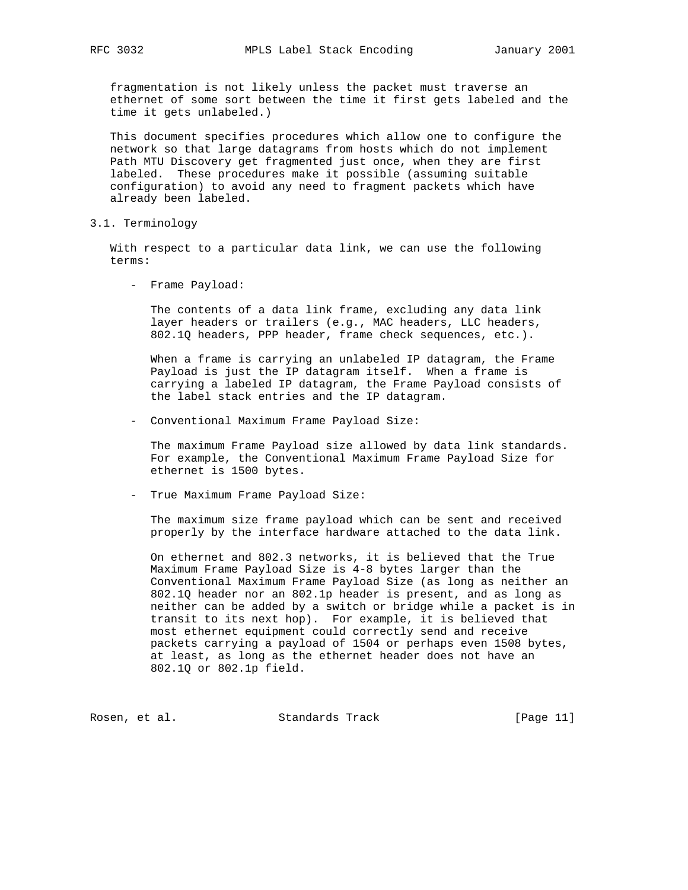fragmentation is not likely unless the packet must traverse an ethernet of some sort between the time it first gets labeled and the time it gets unlabeled.)

 This document specifies procedures which allow one to configure the network so that large datagrams from hosts which do not implement Path MTU Discovery get fragmented just once, when they are first labeled. These procedures make it possible (assuming suitable configuration) to avoid any need to fragment packets which have already been labeled.

3.1. Terminology

 With respect to a particular data link, we can use the following terms:

- Frame Payload:

 The contents of a data link frame, excluding any data link layer headers or trailers (e.g., MAC headers, LLC headers, 802.1Q headers, PPP header, frame check sequences, etc.).

 When a frame is carrying an unlabeled IP datagram, the Frame Payload is just the IP datagram itself. When a frame is carrying a labeled IP datagram, the Frame Payload consists of the label stack entries and the IP datagram.

- Conventional Maximum Frame Payload Size:

 The maximum Frame Payload size allowed by data link standards. For example, the Conventional Maximum Frame Payload Size for ethernet is 1500 bytes.

- True Maximum Frame Payload Size:

 The maximum size frame payload which can be sent and received properly by the interface hardware attached to the data link.

 On ethernet and 802.3 networks, it is believed that the True Maximum Frame Payload Size is 4-8 bytes larger than the Conventional Maximum Frame Payload Size (as long as neither an 802.1Q header nor an 802.1p header is present, and as long as neither can be added by a switch or bridge while a packet is in transit to its next hop). For example, it is believed that most ethernet equipment could correctly send and receive packets carrying a payload of 1504 or perhaps even 1508 bytes, at least, as long as the ethernet header does not have an 802.1Q or 802.1p field.

Rosen, et al. Standards Track [Page 11]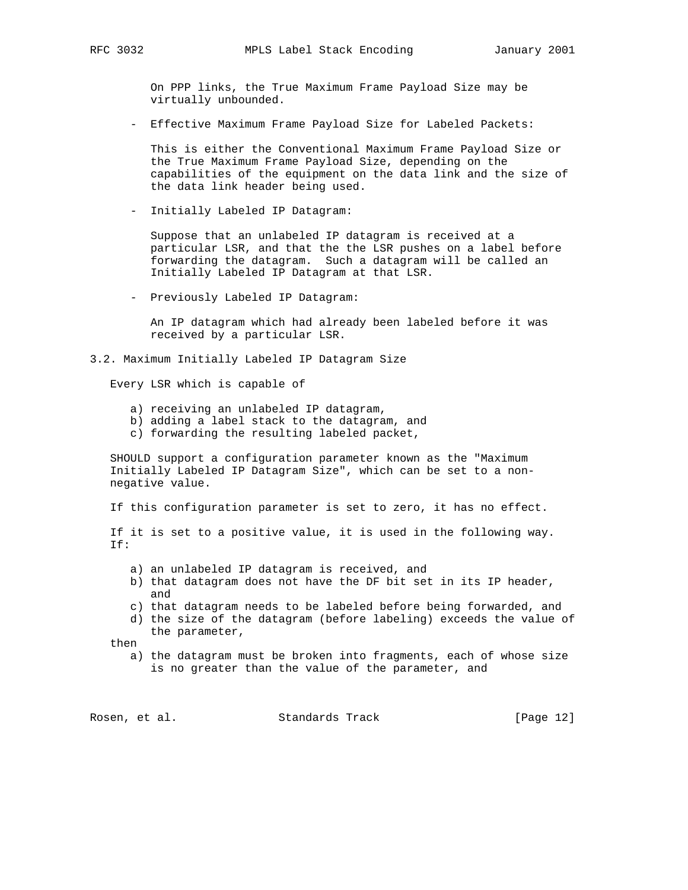On PPP links, the True Maximum Frame Payload Size may be virtually unbounded.

- Effective Maximum Frame Payload Size for Labeled Packets:

 This is either the Conventional Maximum Frame Payload Size or the True Maximum Frame Payload Size, depending on the capabilities of the equipment on the data link and the size of the data link header being used.

- Initially Labeled IP Datagram:

 Suppose that an unlabeled IP datagram is received at a particular LSR, and that the the LSR pushes on a label before forwarding the datagram. Such a datagram will be called an Initially Labeled IP Datagram at that LSR.

- Previously Labeled IP Datagram:

 An IP datagram which had already been labeled before it was received by a particular LSR.

3.2. Maximum Initially Labeled IP Datagram Size

Every LSR which is capable of

- a) receiving an unlabeled IP datagram,
- b) adding a label stack to the datagram, and
- c) forwarding the resulting labeled packet,

 SHOULD support a configuration parameter known as the "Maximum Initially Labeled IP Datagram Size", which can be set to a non negative value.

If this configuration parameter is set to zero, it has no effect.

 If it is set to a positive value, it is used in the following way. If:

- a) an unlabeled IP datagram is received, and
- b) that datagram does not have the DF bit set in its IP header, and
- c) that datagram needs to be labeled before being forwarded, and
- d) the size of the datagram (before labeling) exceeds the value of the parameter,

then

 a) the datagram must be broken into fragments, each of whose size is no greater than the value of the parameter, and

Rosen, et al. Standards Track [Page 12]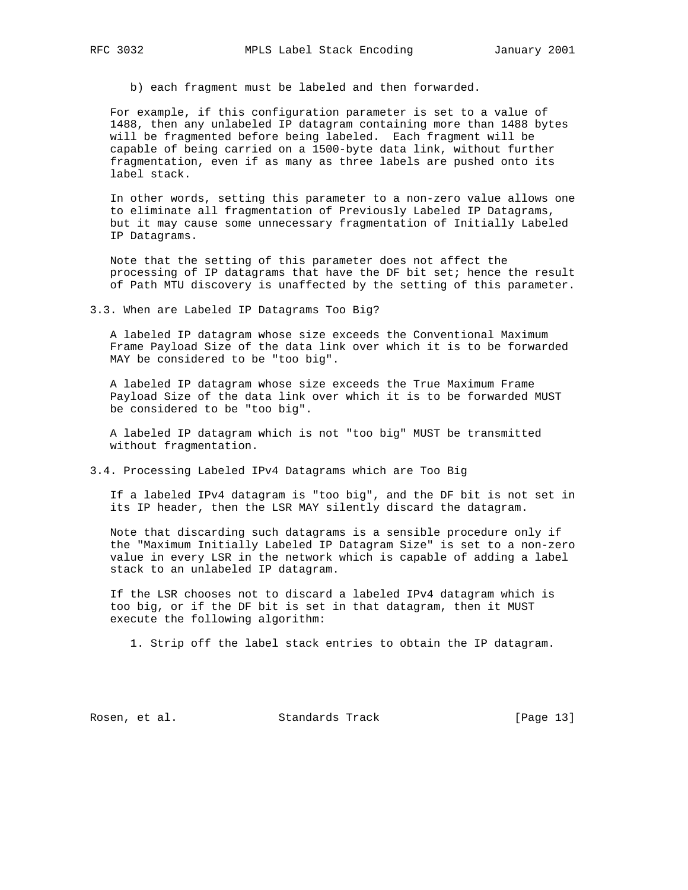b) each fragment must be labeled and then forwarded.

 For example, if this configuration parameter is set to a value of 1488, then any unlabeled IP datagram containing more than 1488 bytes will be fragmented before being labeled. Each fragment will be capable of being carried on a 1500-byte data link, without further fragmentation, even if as many as three labels are pushed onto its label stack.

 In other words, setting this parameter to a non-zero value allows one to eliminate all fragmentation of Previously Labeled IP Datagrams, but it may cause some unnecessary fragmentation of Initially Labeled IP Datagrams.

 Note that the setting of this parameter does not affect the processing of IP datagrams that have the DF bit set; hence the result of Path MTU discovery is unaffected by the setting of this parameter.

3.3. When are Labeled IP Datagrams Too Big?

 A labeled IP datagram whose size exceeds the Conventional Maximum Frame Payload Size of the data link over which it is to be forwarded MAY be considered to be "too big".

 A labeled IP datagram whose size exceeds the True Maximum Frame Payload Size of the data link over which it is to be forwarded MUST be considered to be "too big".

 A labeled IP datagram which is not "too big" MUST be transmitted without fragmentation.

3.4. Processing Labeled IPv4 Datagrams which are Too Big

 If a labeled IPv4 datagram is "too big", and the DF bit is not set in its IP header, then the LSR MAY silently discard the datagram.

 Note that discarding such datagrams is a sensible procedure only if the "Maximum Initially Labeled IP Datagram Size" is set to a non-zero value in every LSR in the network which is capable of adding a label stack to an unlabeled IP datagram.

 If the LSR chooses not to discard a labeled IPv4 datagram which is too big, or if the DF bit is set in that datagram, then it MUST execute the following algorithm:

1. Strip off the label stack entries to obtain the IP datagram.

Rosen, et al. Standards Track [Page 13]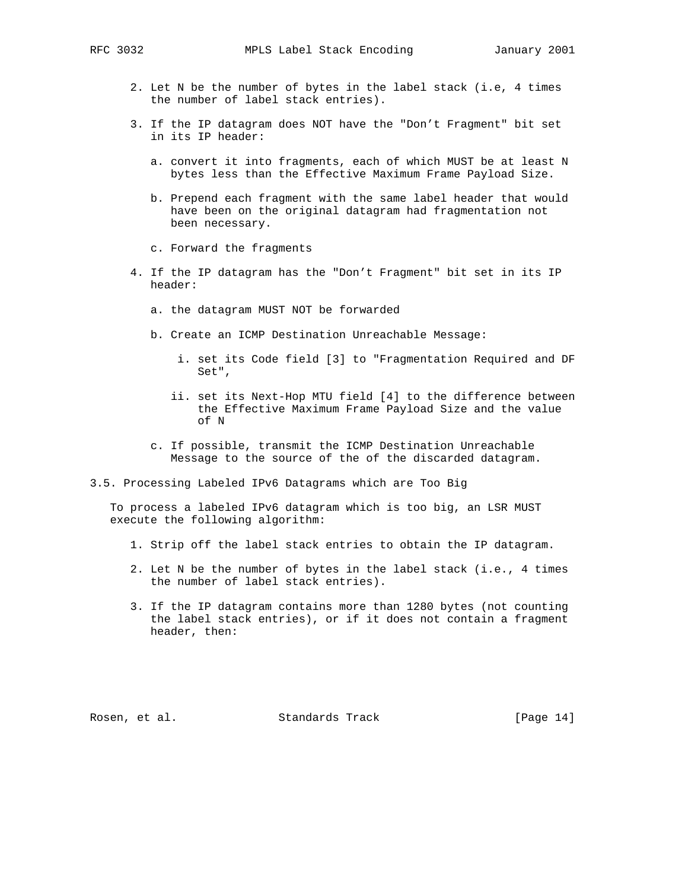- 2. Let N be the number of bytes in the label stack (i.e, 4 times the number of label stack entries).
- 3. If the IP datagram does NOT have the "Don't Fragment" bit set in its IP header:
	- a. convert it into fragments, each of which MUST be at least N bytes less than the Effective Maximum Frame Payload Size.
	- b. Prepend each fragment with the same label header that would have been on the original datagram had fragmentation not been necessary.
	- c. Forward the fragments
- 4. If the IP datagram has the "Don't Fragment" bit set in its IP header:
	- a. the datagram MUST NOT be forwarded
	- b. Create an ICMP Destination Unreachable Message:
		- i. set its Code field [3] to "Fragmentation Required and DF Set",
		- ii. set its Next-Hop MTU field [4] to the difference between the Effective Maximum Frame Payload Size and the value of N
	- c. If possible, transmit the ICMP Destination Unreachable Message to the source of the of the discarded datagram.
- 3.5. Processing Labeled IPv6 Datagrams which are Too Big

 To process a labeled IPv6 datagram which is too big, an LSR MUST execute the following algorithm:

- 1. Strip off the label stack entries to obtain the IP datagram.
- 2. Let N be the number of bytes in the label stack (i.e., 4 times the number of label stack entries).
- 3. If the IP datagram contains more than 1280 bytes (not counting the label stack entries), or if it does not contain a fragment header, then:

Rosen, et al. Standards Track [Page 14]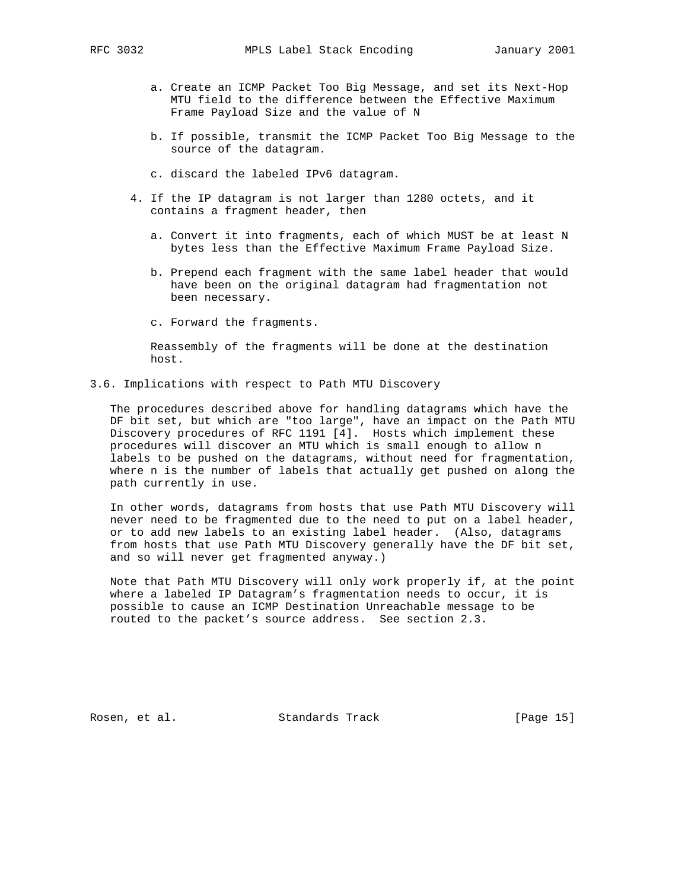- a. Create an ICMP Packet Too Big Message, and set its Next-Hop MTU field to the difference between the Effective Maximum Frame Payload Size and the value of N
- b. If possible, transmit the ICMP Packet Too Big Message to the source of the datagram.
- c. discard the labeled IPv6 datagram.
- 4. If the IP datagram is not larger than 1280 octets, and it contains a fragment header, then
	- a. Convert it into fragments, each of which MUST be at least N bytes less than the Effective Maximum Frame Payload Size.
	- b. Prepend each fragment with the same label header that would have been on the original datagram had fragmentation not been necessary.
	- c. Forward the fragments.

 Reassembly of the fragments will be done at the destination host.

### 3.6. Implications with respect to Path MTU Discovery

 The procedures described above for handling datagrams which have the DF bit set, but which are "too large", have an impact on the Path MTU Discovery procedures of RFC 1191 [4]. Hosts which implement these procedures will discover an MTU which is small enough to allow n labels to be pushed on the datagrams, without need for fragmentation, where n is the number of labels that actually get pushed on along the path currently in use.

 In other words, datagrams from hosts that use Path MTU Discovery will never need to be fragmented due to the need to put on a label header, or to add new labels to an existing label header. (Also, datagrams from hosts that use Path MTU Discovery generally have the DF bit set, and so will never get fragmented anyway.)

 Note that Path MTU Discovery will only work properly if, at the point where a labeled IP Datagram's fragmentation needs to occur, it is possible to cause an ICMP Destination Unreachable message to be routed to the packet's source address. See section 2.3.

Rosen, et al. Standards Track [Page 15]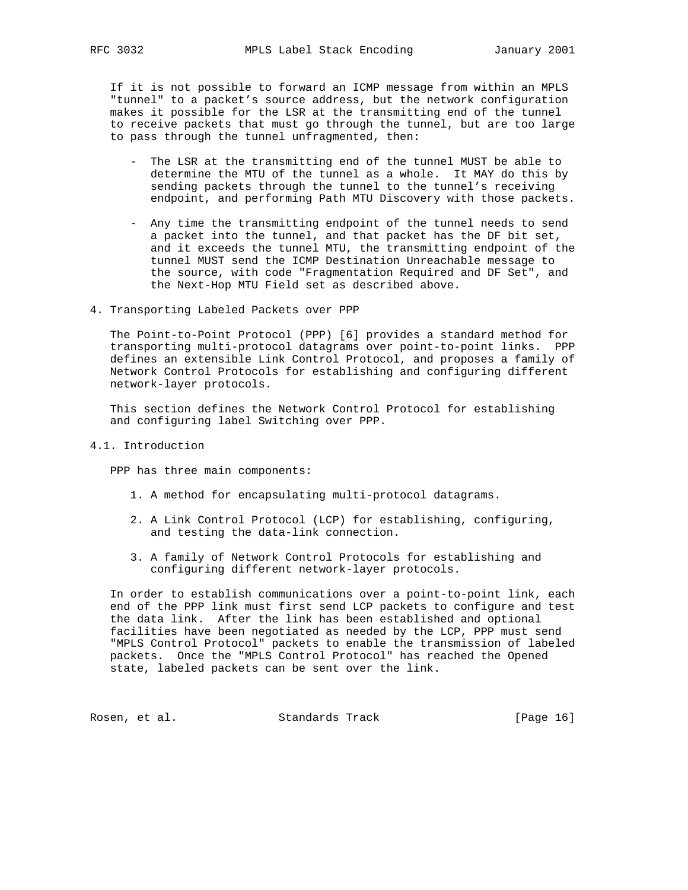If it is not possible to forward an ICMP message from within an MPLS "tunnel" to a packet's source address, but the network configuration makes it possible for the LSR at the transmitting end of the tunnel to receive packets that must go through the tunnel, but are too large to pass through the tunnel unfragmented, then:

- The LSR at the transmitting end of the tunnel MUST be able to determine the MTU of the tunnel as a whole. It MAY do this by sending packets through the tunnel to the tunnel's receiving endpoint, and performing Path MTU Discovery with those packets.
- Any time the transmitting endpoint of the tunnel needs to send a packet into the tunnel, and that packet has the DF bit set, and it exceeds the tunnel MTU, the transmitting endpoint of the tunnel MUST send the ICMP Destination Unreachable message to the source, with code "Fragmentation Required and DF Set", and the Next-Hop MTU Field set as described above.
- 4. Transporting Labeled Packets over PPP

 The Point-to-Point Protocol (PPP) [6] provides a standard method for transporting multi-protocol datagrams over point-to-point links. PPP defines an extensible Link Control Protocol, and proposes a family of Network Control Protocols for establishing and configuring different network-layer protocols.

 This section defines the Network Control Protocol for establishing and configuring label Switching over PPP.

4.1. Introduction

PPP has three main components:

- 1. A method for encapsulating multi-protocol datagrams.
- 2. A Link Control Protocol (LCP) for establishing, configuring, and testing the data-link connection.
- 3. A family of Network Control Protocols for establishing and configuring different network-layer protocols.

 In order to establish communications over a point-to-point link, each end of the PPP link must first send LCP packets to configure and test the data link. After the link has been established and optional facilities have been negotiated as needed by the LCP, PPP must send "MPLS Control Protocol" packets to enable the transmission of labeled packets. Once the "MPLS Control Protocol" has reached the Opened state, labeled packets can be sent over the link.

Rosen, et al. Standards Track [Page 16]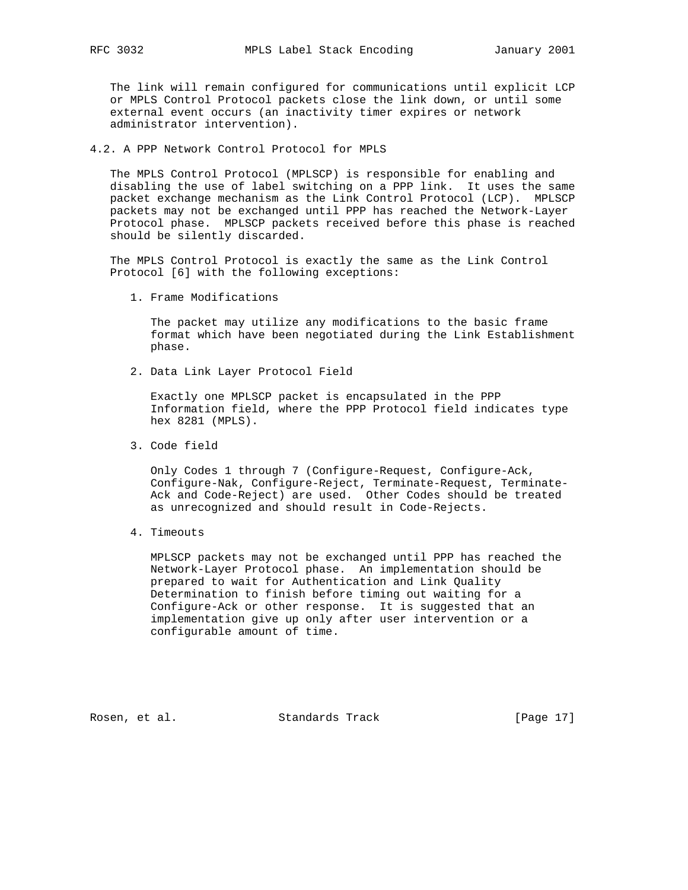The link will remain configured for communications until explicit LCP or MPLS Control Protocol packets close the link down, or until some external event occurs (an inactivity timer expires or network administrator intervention).

### 4.2. A PPP Network Control Protocol for MPLS

 The MPLS Control Protocol (MPLSCP) is responsible for enabling and disabling the use of label switching on a PPP link. It uses the same packet exchange mechanism as the Link Control Protocol (LCP). MPLSCP packets may not be exchanged until PPP has reached the Network-Layer Protocol phase. MPLSCP packets received before this phase is reached should be silently discarded.

 The MPLS Control Protocol is exactly the same as the Link Control Protocol [6] with the following exceptions:

1. Frame Modifications

 The packet may utilize any modifications to the basic frame format which have been negotiated during the Link Establishment phase.

2. Data Link Layer Protocol Field

 Exactly one MPLSCP packet is encapsulated in the PPP Information field, where the PPP Protocol field indicates type hex 8281 (MPLS).

3. Code field

 Only Codes 1 through 7 (Configure-Request, Configure-Ack, Configure-Nak, Configure-Reject, Terminate-Request, Terminate- Ack and Code-Reject) are used. Other Codes should be treated as unrecognized and should result in Code-Rejects.

4. Timeouts

 MPLSCP packets may not be exchanged until PPP has reached the Network-Layer Protocol phase. An implementation should be prepared to wait for Authentication and Link Quality Determination to finish before timing out waiting for a Configure-Ack or other response. It is suggested that an implementation give up only after user intervention or a configurable amount of time.

Rosen, et al. Standards Track [Page 17]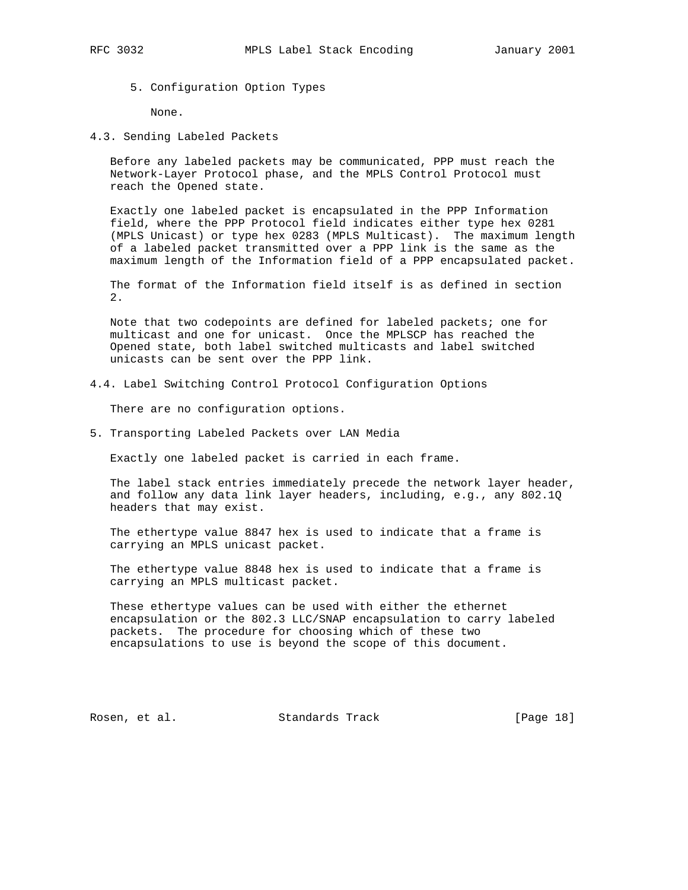5. Configuration Option Types

None.

4.3. Sending Labeled Packets

 Before any labeled packets may be communicated, PPP must reach the Network-Layer Protocol phase, and the MPLS Control Protocol must reach the Opened state.

 Exactly one labeled packet is encapsulated in the PPP Information field, where the PPP Protocol field indicates either type hex 0281 (MPLS Unicast) or type hex 0283 (MPLS Multicast). The maximum length of a labeled packet transmitted over a PPP link is the same as the maximum length of the Information field of a PPP encapsulated packet.

 The format of the Information field itself is as defined in section 2.

 Note that two codepoints are defined for labeled packets; one for multicast and one for unicast. Once the MPLSCP has reached the Opened state, both label switched multicasts and label switched unicasts can be sent over the PPP link.

4.4. Label Switching Control Protocol Configuration Options

There are no configuration options.

5. Transporting Labeled Packets over LAN Media

Exactly one labeled packet is carried in each frame.

 The label stack entries immediately precede the network layer header, and follow any data link layer headers, including, e.g., any 802.1Q headers that may exist.

 The ethertype value 8847 hex is used to indicate that a frame is carrying an MPLS unicast packet.

 The ethertype value 8848 hex is used to indicate that a frame is carrying an MPLS multicast packet.

 These ethertype values can be used with either the ethernet encapsulation or the 802.3 LLC/SNAP encapsulation to carry labeled packets. The procedure for choosing which of these two encapsulations to use is beyond the scope of this document.

Rosen, et al. Standards Track [Page 18]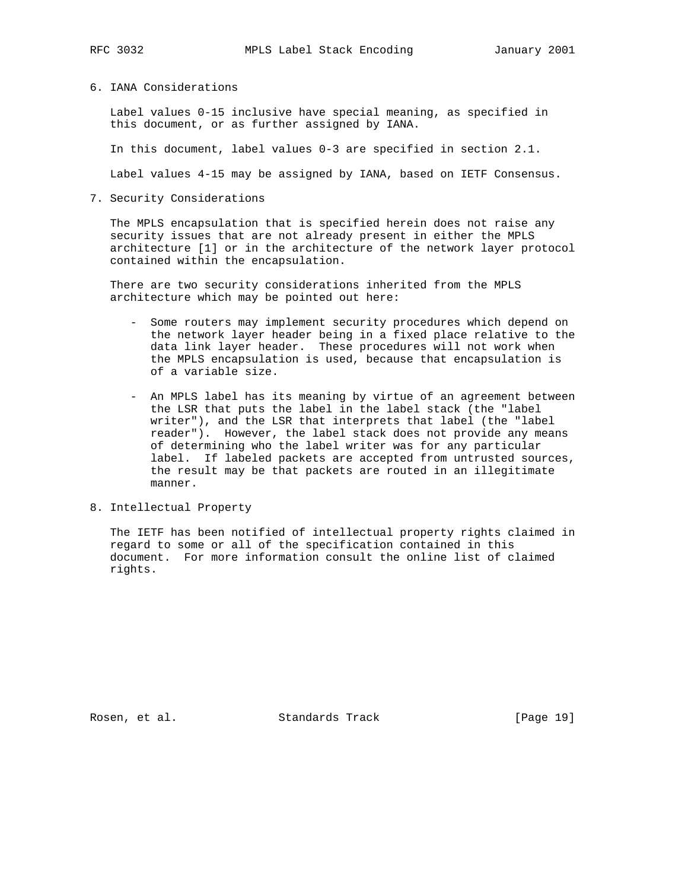#### 6. IANA Considerations

 Label values 0-15 inclusive have special meaning, as specified in this document, or as further assigned by IANA.

In this document, label values 0-3 are specified in section 2.1.

Label values 4-15 may be assigned by IANA, based on IETF Consensus.

7. Security Considerations

 The MPLS encapsulation that is specified herein does not raise any security issues that are not already present in either the MPLS architecture [1] or in the architecture of the network layer protocol contained within the encapsulation.

 There are two security considerations inherited from the MPLS architecture which may be pointed out here:

- Some routers may implement security procedures which depend on the network layer header being in a fixed place relative to the data link layer header. These procedures will not work when the MPLS encapsulation is used, because that encapsulation is of a variable size.
- An MPLS label has its meaning by virtue of an agreement between the LSR that puts the label in the label stack (the "label writer"), and the LSR that interprets that label (the "label reader"). However, the label stack does not provide any means of determining who the label writer was for any particular label. If labeled packets are accepted from untrusted sources, the result may be that packets are routed in an illegitimate manner.
- 8. Intellectual Property

 The IETF has been notified of intellectual property rights claimed in regard to some or all of the specification contained in this document. For more information consult the online list of claimed rights.

Rosen, et al. Standards Track [Page 19]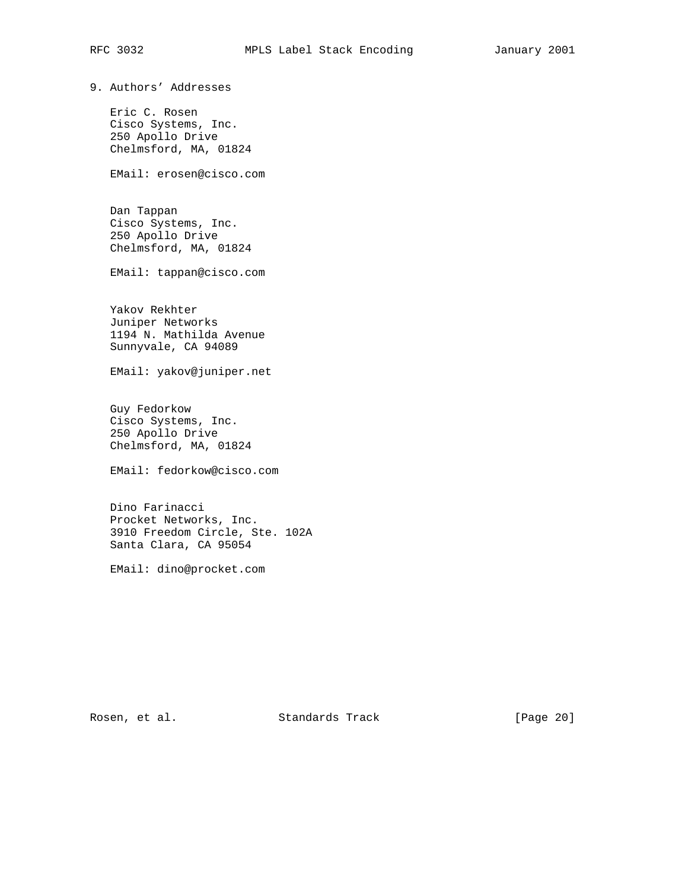9. Authors' Addresses

 Eric C. Rosen Cisco Systems, Inc. 250 Apollo Drive Chelmsford, MA, 01824

EMail: erosen@cisco.com

 Dan Tappan Cisco Systems, Inc. 250 Apollo Drive Chelmsford, MA, 01824

EMail: tappan@cisco.com

 Yakov Rekhter Juniper Networks 1194 N. Mathilda Avenue Sunnyvale, CA 94089

EMail: yakov@juniper.net

 Guy Fedorkow Cisco Systems, Inc. 250 Apollo Drive Chelmsford, MA, 01824

EMail: fedorkow@cisco.com

 Dino Farinacci Procket Networks, Inc. 3910 Freedom Circle, Ste. 102A Santa Clara, CA 95054

EMail: dino@procket.com

Rosen, et al. Standards Track [Page 20]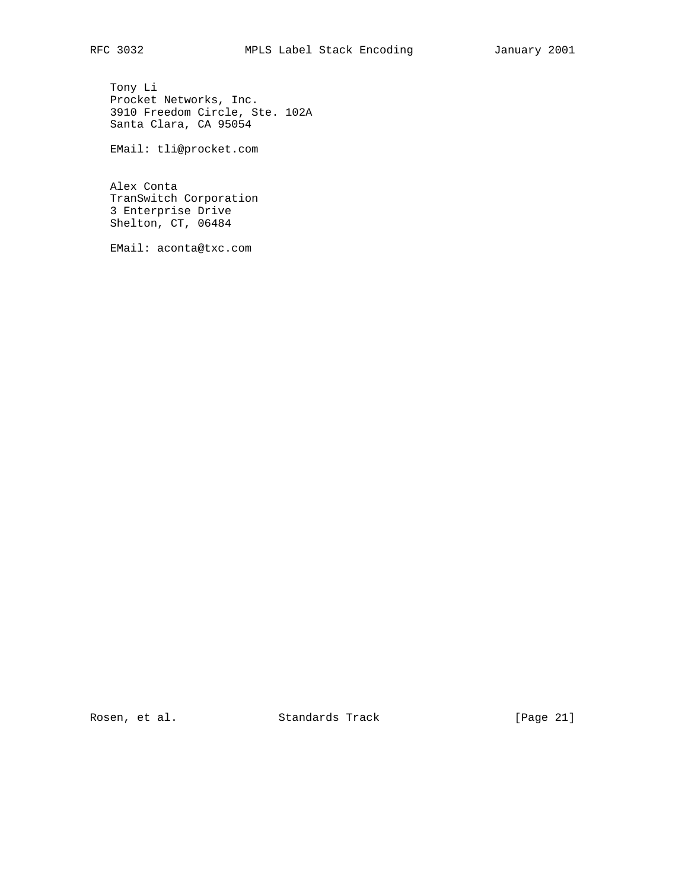Tony Li Procket Networks, Inc. 3910 Freedom Circle, Ste. 102A Santa Clara, CA 95054

EMail: tli@procket.com

 Alex Conta TranSwitch Corporation 3 Enterprise Drive Shelton, CT, 06484

EMail: aconta@txc.com

Rosen, et al. Standards Track [Page 21]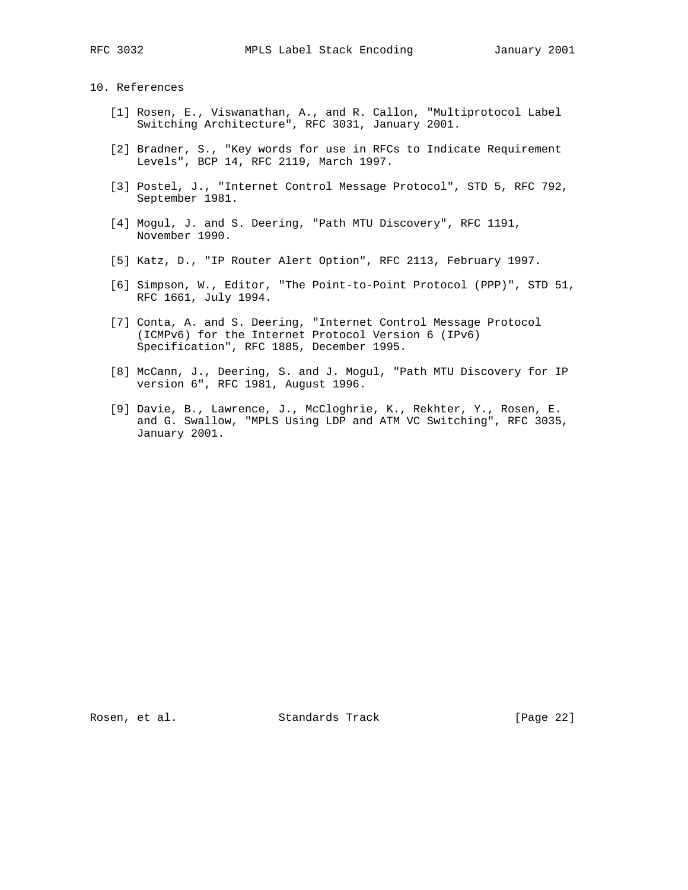10. References

- [1] Rosen, E., Viswanathan, A., and R. Callon, "Multiprotocol Label Switching Architecture", RFC 3031, January 2001.
- [2] Bradner, S., "Key words for use in RFCs to Indicate Requirement Levels", BCP 14, RFC 2119, March 1997.
- [3] Postel, J., "Internet Control Message Protocol", STD 5, RFC 792, September 1981.
- [4] Mogul, J. and S. Deering, "Path MTU Discovery", RFC 1191, November 1990.
- [5] Katz, D., "IP Router Alert Option", RFC 2113, February 1997.
- [6] Simpson, W., Editor, "The Point-to-Point Protocol (PPP)", STD 51, RFC 1661, July 1994.
- [7] Conta, A. and S. Deering, "Internet Control Message Protocol (ICMPv6) for the Internet Protocol Version 6 (IPv6) Specification", RFC 1885, December 1995.
- [8] McCann, J., Deering, S. and J. Mogul, "Path MTU Discovery for IP version 6", RFC 1981, August 1996.
- [9] Davie, B., Lawrence, J., McCloghrie, K., Rekhter, Y., Rosen, E. and G. Swallow, "MPLS Using LDP and ATM VC Switching", RFC 3035, January 2001.

Rosen, et al. Standards Track [Page 22]